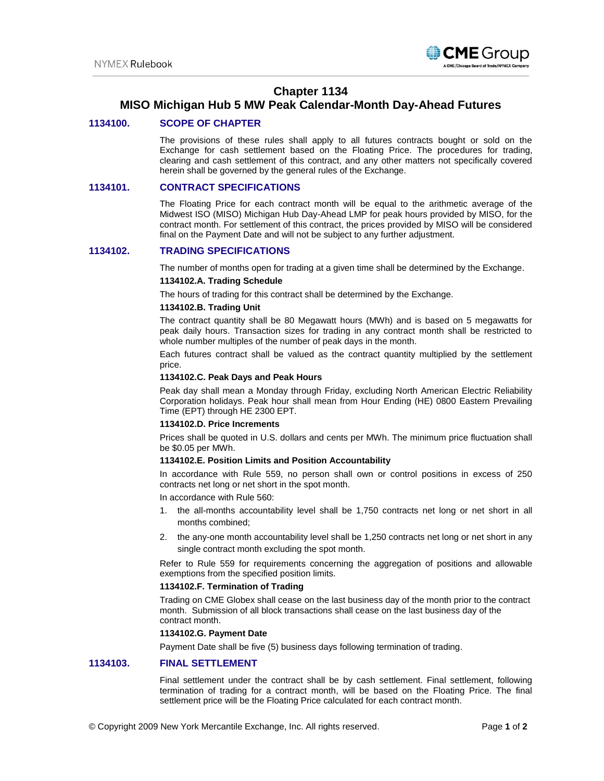

# **Chapter 1134**

# **MISO Michigan Hub 5 MW Peak Calendar-Month Day-Ahead Futures**

## **1134100. SCOPE OF CHAPTER**

The provisions of these rules shall apply to all futures contracts bought or sold on the Exchange for cash settlement based on the Floating Price. The procedures for trading, clearing and cash settlement of this contract, and any other matters not specifically covered herein shall be governed by the general rules of the Exchange.

## **1134101. CONTRACT SPECIFICATIONS**

The Floating Price for each contract month will be equal to the arithmetic average of the Midwest ISO (MISO) Michigan Hub Day-Ahead LMP for peak hours provided by MISO, for the contract month. For settlement of this contract, the prices provided by MISO will be considered final on the Payment Date and will not be subject to any further adjustment.

## **1134102. TRADING SPECIFICATIONS**

The number of months open for trading at a given time shall be determined by the Exchange.

## **1134102.A. Trading Schedule**

The hours of trading for this contract shall be determined by the Exchange.

## **1134102.B. Trading Unit**

The contract quantity shall be 80 Megawatt hours (MWh) and is based on 5 megawatts for peak daily hours. Transaction sizes for trading in any contract month shall be restricted to whole number multiples of the number of peak days in the month.

Each futures contract shall be valued as the contract quantity multiplied by the settlement price.

#### **1134102.C. Peak Days and Peak Hours**

Peak day shall mean a Monday through Friday, excluding North American Electric Reliability Corporation holidays. Peak hour shall mean from Hour Ending (HE) 0800 Eastern Prevailing Time (EPT) through HE 2300 EPT.

### **1134102.D. Price Increments**

Prices shall be quoted in U.S. dollars and cents per MWh. The minimum price fluctuation shall be \$0.05 per MWh.

#### **1134102.E. Position Limits and Position Accountability**

In accordance with Rule 559, no person shall own or control positions in excess of 250 contracts net long or net short in the spot month.

In accordance with Rule 560:

- 1. the all-months accountability level shall be 1,750 contracts net long or net short in all months combined;
- 2. the any-one month accountability level shall be 1,250 contracts net long or net short in any single contract month excluding the spot month.

Refer to Rule 559 for requirements concerning the aggregation of positions and allowable exemptions from the specified position limits.

#### **1134102.F. Termination of Trading**

Trading on CME Globex shall cease on the last business day of the month prior to the contract month. Submission of all block transactions shall cease on the last business day of the contract month.

### **1134102.G. Payment Date**

Payment Date shall be five (5) business days following termination of trading.

#### **1134103. FINAL SETTLEMENT**

Final settlement under the contract shall be by cash settlement. Final settlement, following termination of trading for a contract month, will be based on the Floating Price. The final settlement price will be the Floating Price calculated for each contract month.